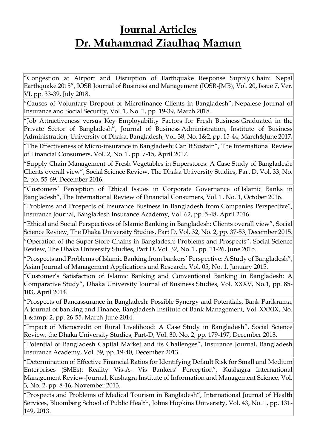## **Journal Articles Dr. Muhammad Ziaulhaq Mamun**

"Congestion at Airport and Disruption of Earthquake Response Supply Chain: Nepal Earthquake 2015", IOSR Journal of Business and Management (IOSR-JMB), Vol. 20, Issue 7, Ver. VI, pp. 33-39, July 2018.

"Causes of Voluntary Dropout of Microfinance Clients in Bangladesh", Nepalese Journal of Insurance and Social Security, Vol. 1, No. 1, pp. 19-39, March 2018.

"Job Attractiveness versus Key Employability Factors for Fresh Business Graduated in the Private Sector of Bangladesh", Journal of Business Administration, Institute of Business Administration, University of Dhaka, Bangladesh, Vol. 38, No. 1&2, pp. 15-44, March&June 2017.

"The Effectiveness of Micro-insurance in Bangladesh: Can It Sustain", The International Review of Financial Consumers, Vol. 2, No. 1, pp. 7-15, April 2017.

"Supply Chain Management of Fresh Vegetables in Superstores: A Case Study of Bangladesh: Clients overall view", Social Science Review, The Dhaka University Studies, Part D, Vol. 33, No. 2, pp. 55-69, December 2016.

"Customers' Perception of Ethical Issues in Corporate Governance of Islamic Banks in Bangladesh", The International Review of Financial Consumers, Vol. 1, No. 1, October 2016.

"Problems and Prospects of Insurance Business in Bangladesh from Companies Perspective", Insurance Journal, Bangladesh Insurance Academy, Vol. 62, pp. 5-48, April 2016.

"Ethical and Social Perspectives of Islamic Banking in Bangladesh: Clients overall view", Social Science Review, The Dhaka University Studies, Part D, Vol. 32, No. 2, pp. 37-53, December 2015.

"Operation of the Super Store Chains in Bangladesh: Problems and Prospects", Social Science Review, The Dhaka University Studies, Part D, Vol. 32, No. 1, pp. 11-26, June 2015.

"Prospects and Problems of Islamic Banking from bankers' Perspective: A Study of Bangladesh", Asian Journal of Management Applications and Research, Vol. 05, No. 1, January 2015.

"Customer's Satisfaction of Islamic Banking and Conventional Banking in Bangladesh: A Comparative Study", Dhaka University Journal of Business Studies, Vol. XXXV, No.1, pp. 85- 103, April 2014.

"Prospects of Bancassurance in Bangladesh: Possible Synergy and Potentials, Bank Parikrama, A journal of banking and Finance, Bangladesh Institute of Bank Management, Vol. XXXIX, No. 1 & amp; 2, pp. 26-55, March-June 2014.

"Impact of Microcredit on Rural Livelihood: A Case Study in Bangladesh", Social Science Review, the Dhaka University Studies, Part-D, Vol. 30, No. 2, pp. 179-197, December 2013.

"Potential of Bangladesh Capital Market and its Challenges", Insurance Journal, Bangladesh Insurance Academy, Vol. 59, pp. 19-40, December 2013.

"Determination of Effective Financial Ratios for Identifying Default Risk for Small and Medium Enterprises (SMEs): Reality Vis-A- Vis Bankers' Perception", Kushagra International Management Review-Journal, Kushagra Institute of Information and Management Science, Vol. 3, No. 2, pp. 8-16, November 2013.

"Prospects and Problems of Medical Tourism in Bangladesh", International Journal of Health Services, Bloomberg School of Public Health, Johns Hopkins University, Vol. 43, No. 1, pp. 131- 149, 2013.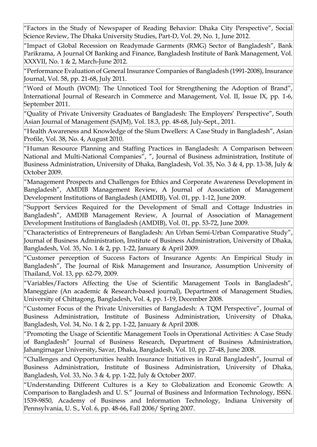<sup>"</sup> Factors in the Study of Newspaper of Reading Behavior: Dhaka City Perspective", Social Science Review, The Dhaka University Studies, Part-D, Vol. 29, No. 1, June 2012.

"Impact of Global Recession on Readymade Garments (RMG) Sector of Bangladesh", Bank Parikrama, A Journal Of Banking and Finance, Bangladesh Institute of Bank Management, Vol. XXXVII, No. 1 & 2, March-June 2012.

"Performance Evaluation of General Insurance Companies of Bangladesh (1991-2008), Insurance Journal, Vol. 58, pp. 21-68, July 2011.

"Word of Mouth (WOM): The Unnoticed Tool for Strengthening the Adoption of Brand", International Journal of Research in Commerce and Management, Vol. II, Issue IX, pp. 1-6, September 2011.

"Quality of Private University Graduates of Bangladesh: The Employers' Perspective", South Asian Journal of Management (SAJM), Vol. 18.3, pp. 48-68, July-Sept., 2011.

"Health Awareness and Knowledge of the Slum Dwellers: A Case Study in Bangladesh", Asian Profile, Vol. 38, No. 4, August 2010.

"Human Resource Planning and Staffing Practices in Bangladesh: A Comparison between National and Multi-National Companies", ", Journal of Business administration, Institute of Business Administration, University of Dhaka, Bangladesh, Vol. 35, No. 3 & 4, pp. 13-38, July & October 2009.

"Management Prospects and Challenges for Ethics and Corporate Awareness Development in Bangladesh", AMDIB Management Review, A Journal of Association of Management Development Institutions of Bangladesh (AMDIB), Vol. 01, pp. 1-12, June 2009.

"Support Services Required for the Development of Small and Cottage Industries in Bangladesh", AMDIB Management Review, A Journal of Association of Management Development Institutions of Bangladesh (AMDIB), Vol. 01, pp. 53-72, June 2009.

"Characteristics of Entrepreneurs of Bangladesh: An Urban Semi-Urban Comparative Study", Journal of Business Administration, Institute of Business Administration, University of Dhaka, Bangladesh, Vol. 35, No. 1 & 2, pp. 1-22, January & April 2009.

"Customer perception of Success Factors of Insurance Agents: An Empirical Study in Bangladesh", The Journal of Risk Management and Insurance, Assumption University of Thailand, Vol. 13, pp. 62-79, 2009.

"Variables/Factors Affecting the Use of Scientific Management Tools in Bangladesh", Maneggiare (An academic & Research-based journal), Department of Management Studies, University of Chittagong, Bangladesh, Vol. 4, pp. 1-19, December 2008.

"Customer Focus of the Private Universities of Bangladesh: A TQM Perspective", Journal of Business Administration, Institute of Business Administration, University of Dhaka, Bangladesh, Vol. 34, No. 1 & 2, pp. 1-22, January & April 2008.

"Promoting the Usage of Scientific Management Tools in Operational Activities: A Case Study of Bangladesh" Journal of Business Research, Department of Business Administration, Jahangirnagar University, Savar, Dhaka, Bangladesh, Vol. 10, pp. 27-48, June 2008.

"Challenges and Opportunities health Insurance Initiatives in Rural Bangladesh", Journal of Business Administration, Institute of Business Administration, University of Dhaka, Bangladesh, Vol. 33, No. 3 & 4, pp. 1-22, July & October 2007.

"Understanding Different Cultures is a Key to Globalization and Economic Growth: A Comparison to Bangladesh and U. S." Journal of Business and Information Technology, ISSN. 1539-9850, Academy of Business and Information Technology, Indiana University of Pennsylvania, U. S., Vol. 6, pp. 48-66, Fall 2006/ Spring 2007.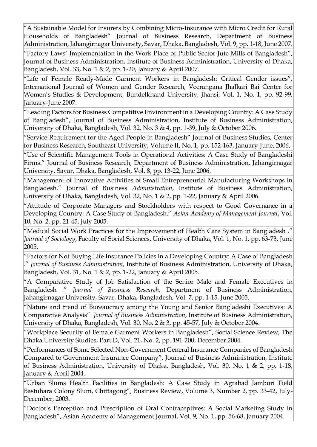$"A$  Sustainable Model for Insurers by Combining Micro-Insurance with Micro Credit for Rural Households of Bangladesh" Journal of Business Research, Department of Business Administration, Jahangirnagar University, Savar, Dhaka, Bangladesh, Vol. 9, pp. 1-18, June 2007.

"Factory Laws' Implementation in the Work Place of Public Sector Jute Mills of Bangladesh", Journal of Business Administration, Institute of Business Administration, University of Dhaka, Bangladesh, Vol. 33, No. 1 & 2, pp. 1-20, January & April 2007.

"Life of Female Ready-Made Garment Workers in Bangladesh: Critical Gender issues", International Journal of Women and Gender Research, Veerangana Jhalkari Bai Center for Women's Studies & Development, Bundelkhand University, Jhansi, Vol. 1, No. 1, pp. 92-99, January-June 2007.

"Leading Factors for Business Competitive Environment in a Developing Country: A Case Study of Bangladesh", Journal of Business Administration, Institute of Business Administration, University of Dhaka, Bangladesh, Vol. 32, No. 3 & 4, pp. 1-39, July & October 2006.

"Service Requirement for the Aged People in Bangladesh" Journal of Business Studies, Center for Business Research, Southeast University, Volume II, No. 1, pp. 152-163, January-June, 2006.

"Use of Scientific Management Tools in Operational Activities: A Case Study of Bangladeshi Firms." Journal of Business Research, Department of Business Administration, Jahangirnagar University, Savar, Dhaka, Bangladesh, Vol. 8, pp. 13-22, June 2006.

"Management of Innovative Activities of Small Entrepreneurial Manufacturing Workshops in Bangladesh." Journal of Business *Administration*, Institute of Business Administration, University of Dhaka, Bangladesh, Vol. 32, No. 1 & 2, pp. 1-22, January & April 2006.

"Attitude of Corporate Managers and Stockholders with respect to Good Governance in a Developing Country: A Case Study of Bangladesh." *Asian Academy of Management Journal*, Vol. 10, No. 2, pp. 21-45, July 2005.

"Medical Social Work Practices for the Improvement of Health Care System in Bangladesh ." *Journal of Sociology*, Faculty of Social Sciences, University of Dhaka, Vol. 1, No. 1, pp. 63-73, June 2005.

"Factors for Not Buying Life Insurance Policies in a Developing Country: A Case of Bangladesh ." *Journal of Business Administration*, Institute of Business Administration, University of Dhaka, Bangladesh, Vol. 31, No. 1 & 2, pp. 1-22, January & April 2005.

"A Comparative Study of Job Satisfaction of the Senior Male and Female Executives in Bangladesh ." *Journal of Business Research*, Department of Business Administration, Jahangirnagar University, Savar, Dhaka, Bangladesh, Vol. 7, pp. 1-15, June 2005.

"Nature and trend of Bureaucracy among the Young and Senior Bangladeshi Executives: A Comparative Analysis". *Journal of Business Administration*, Institute of Business Administration, University of Dhaka, Bangladesh, Vol. 30, No. 2 & 3, pp. 45-57, July & October 2004.

"Workplace Security of Female Garment Workers in Bangladesh", Social Science Review, The Dhaka University Studies, Part D, Vol. 21, No. 2, pp. 191-200, December 2004.

"Performances of Some Selected Non-Government General Insurance Companies of Bangladesh Compared to Government Insurance Company", Journal of Business Administration, Institute of Business Administration, University of Dhaka, Bangladesh, Vol. 30, No. 1 & 2, pp. 1-18, January & April 2004.

"Urban Slums Health Facilities in Bangladesh: A Case Study in Agrabad Jamburi Field Bastuhara Colony Slum, Chittagong", Business Review, Volume 3, Number 2, pp. 33-42, July-December, 2003.

"Doctor's Perception and Prescription of Oral Contraceptives: A Social Marketing Study in Bangladesh", Asian Academy of Management Journal, Vol. 9, No. 1, pp. 56-68, January 2004.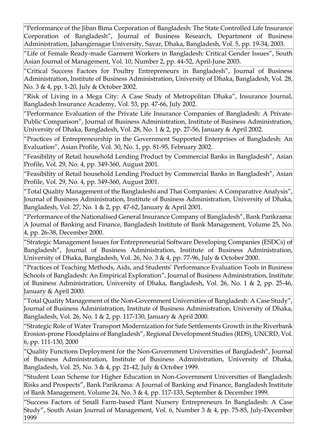"Performance of the Jiban Bima Corporation of Bangladesh: The State Controlled Life Insurance Corporation of Bangladesh", Journal of Business Research, Department of Business Administration, Jahangirnagar University, Savar, Dhaka, Bangladesh, Vol. 5, pp. 19-34, 2003.

"Life of Female Ready-made Garment Workers in Bangladesh: Critical Gender Issues", South Asian Journal of Management, Vol. 10, Number 2, pp. 44-52, April-June 2003.

"Critical Success Factors for Poultry Entrepreneurs in Bangladesh", Journal of Business Administration, Institute of Business Administration, University of Dhaka, Bangladesh, Vol. 28, No. 3 & 4, pp. 1-20, July & October 2002.

"Risk of Living in a Mega City: A Case Study of Metropolitan Dhaka", Insurance Journal, Bangladesh Insurance Academy, Vol. 53, pp. 47-66, July 2002.

"Performance Evaluation of the Private Life Insurance Companies of Bangladesh: A Private-Public Comparison", Journal of Business Administration, Institute of Business Administration, University of Dhaka, Bangladesh, Vol. 28, No. 1 & 2, pp. 27-56, January & April 2002.

"Practices of Entrepreneurship in the Government Supported Enterprises of Bangladesh: An Evaluation", Asian Profile, Vol. 30, No. 1, pp. 81-95, February 2002.

"Feasibility of Retail household Lending Product by Commercial Banks in Bangladesh", Asian Profile, Vol. 29, No. 4, pp. 349-360, August 2001.

"Feasibility of Retail household Lending Product by Commercial Banks in Bangladesh", Asian Profile, Vol. 29, No. 4, pp. 349-360, August 2001.

"Total Quality Management of the Bangladeshi and Thai Companies: A Comparative Analysis", Journal of Business Administration, Institute of Business Administration, University of Dhaka, Bangladesh, Vol. 27, No. 1 & 2, pp. 47-62, January & April 2001.

"Performance of the Nationalised General Insurance Company of Bangladesh", Bank Parikrama: A Journal of Banking and Finance, Bangladesh Institute of Bank Management, Volume 25, No. 4, pp. 26-38, December 2000.

"Strategic Management Issues for Entrepreneurial Software Developing Companies (ESDCs) of Bangladesh", Journal of Business Administration, Institute of Business Administration, University of Dhaka, Bangladesh, Vol. 26, No. 3 & 4, pp. 77-96, July & October 2000.

"Practices of Teaching Methods, Aids, and Students' Performance Evaluation Tools in Business Schools of Bangladesh: An Empirical Exploration", Journal of Business Administration, Institute of Business Administration, University of Dhaka, Bangladesh, Vol. 26, No. 1 & 2, pp. 25-46, January & April 2000.

"Total Quality Management of the Non-Government Universities of Bangladesh: A Case Study", Journal of Business Administration, Institute of Business Administration, University of Dhaka, Bangladesh, Vol. 26, No. 1 & 2, pp. 117-130, January & April 2000.

"Strategic Role of Water Transport Modernization for Safe Settlements Growth in the Riverbank Erosion-prone Floodplains of Bangladesh", Regional Development Studies (RDS), UNCRD, Vol. 6, pp. 111-130, 2000

"Quality Functions Deployment for the Non-Government Universities of Bangladesh", Journal of Business Administration, Institute of Business Administration, University of Dhaka, Bangladesh, Vol. 25, No. 3 & 4, pp. 21-42, July & October 1999.

"Student Loan Scheme for Higher Education in Non-Government Universities of Bangladesh: Risks and Prospects", Bank Parikrama: A Journal of Banking and Finance, Bangladesh Institute of Bank Management, Volume 24, No. 3 & 4, pp. 117-133, September & December 1999.

"Success Factors of Small Farm-based Plant Nursery Entrepreneurs In Bangladesh: A Case Study", South Asian Journal of Management, Vol. 6, Number 3 & 4, pp. 75-85, July-December 1999